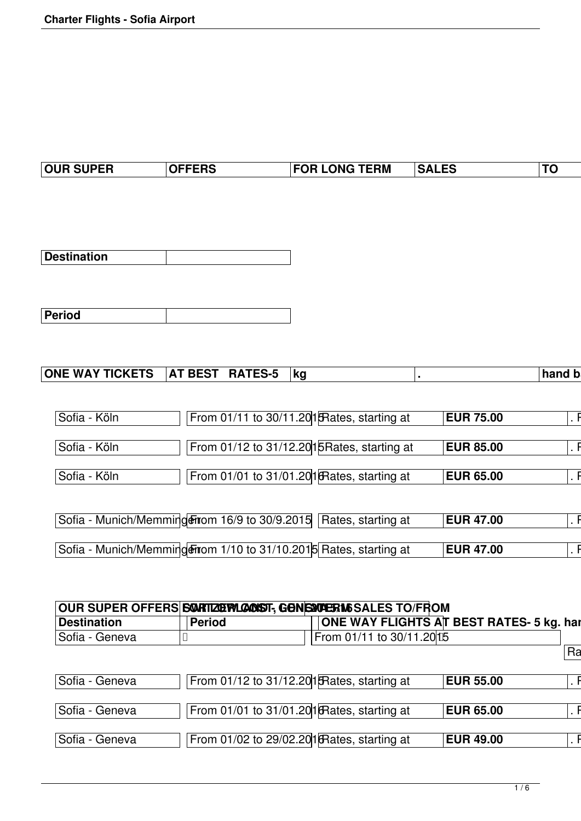| <b>OUR SUPER</b> | <b>OFFERS</b> | <b>FOR LONG TERM</b> | <b>SALES</b> | $^{\dagger}$ TC |
|------------------|---------------|----------------------|--------------|-----------------|

| Destination |  |
|-------------|--|

| Period |  |
|--------|--|

| <b>TICKETS</b><br>TEC F<br><b>WAY</b><br><b>ONE</b><br>T BEST<br>RА<br>$\mathbf{A}^{\mathsf{T}}$<br>1 E.J-<br>~w | .kc | hand<br>IJ |
|------------------------------------------------------------------------------------------------------------------|-----|------------|

| Sofia - Köln | From 01/11 to 30/11.201 Rates, starting at                         | <b>EUR 75.00</b> |  |
|--------------|--------------------------------------------------------------------|------------------|--|
| Sofia - Köln | From 01/12 to 31/12.2015 Rates, starting at                        | <b>EUR 85.00</b> |  |
|              |                                                                    |                  |  |
| Sofia - Köln | From 01/01 to 31/01.201 Rates, starting at                         | <b>EUR 65.00</b> |  |
|              |                                                                    |                  |  |
|              | Sofia - Munich/Memmingeritiom 16/9 to 30/9.2015 Rates, starting at | <b>EUR 47.00</b> |  |
|              | Sofia - Munich/Memming Firom 1/10 to 31/10.2015 Rates, starting at | <b>EUR 47.00</b> |  |

| <b>Destination</b> | Period                                              |                           | <b>ONE WAY FLIGHTS AT BEST RATES- 5 kg. har</b> |    |
|--------------------|-----------------------------------------------------|---------------------------|-------------------------------------------------|----|
| Sofia - Geneva     |                                                     | From 01/11 to 30/11.20 15 |                                                 |    |
|                    |                                                     |                           |                                                 | Ra |
|                    |                                                     |                           |                                                 |    |
| Sofia - Geneva     | From $01/12$ to $31/12.201$ Rates, starting at      |                           | <b>EUR 55.00</b>                                |    |
|                    |                                                     |                           |                                                 |    |
| Sofia - Geneva     | From 01/01 to 31/01.20 1 $\beta$ Rates, starting at |                           | <b>EUR 65.00</b>                                |    |
|                    |                                                     |                           |                                                 |    |
| Sofia - Geneva     | From 01/02 to 29/02.201 Rates, starting at          |                           | <b>EUR 49.00</b>                                |    |
|                    |                                                     |                           |                                                 |    |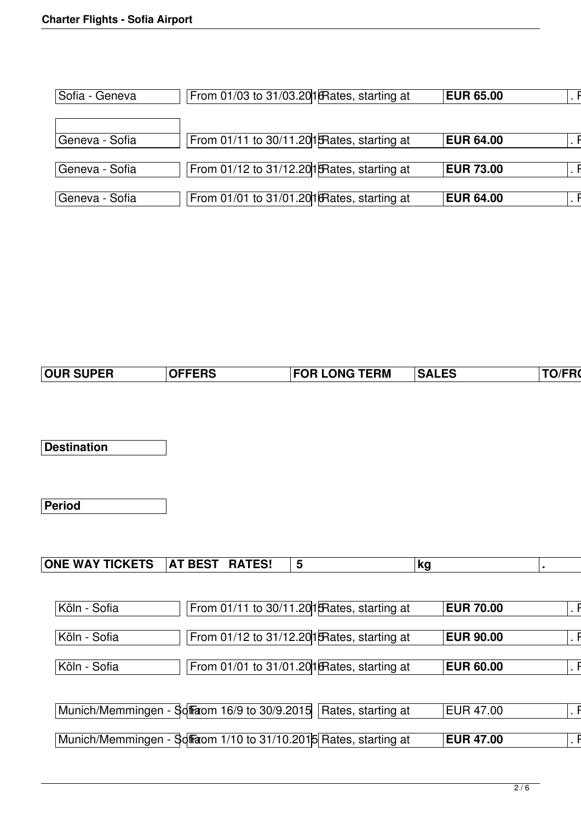| Sofia - Geneva              | From 01/03 to 31/03.201 $R$ ates, starting at  | <b>EUR 65.00</b> |  |
|-----------------------------|------------------------------------------------|------------------|--|
|                             |                                                |                  |  |
| <sup>I</sup> Geneva - Sofia | From 01/11 to 30/11.201 Frates, starting at    | <b>EUR 64.00</b> |  |
| Geneva - Sofia              | From $01/12$ to $31/12.201$ Rates, starting at | <b>EUR 73.00</b> |  |
| Geneva - Sofia              | From 01/01 to 31/01.201 Rates, starting at     | <b>EUR 64.00</b> |  |

| <b>FOR LONG TERM</b><br><b>SALES</b><br>cdc<br>. ENƏ | <b>TO/FRO</b> |
|------------------------------------------------------|---------------|
|------------------------------------------------------|---------------|

**Destination**

**Period**

| Köln - Sofia                                                      | From 01/11 to 30/11.201 FRates, starting at | <b>EUR 70.00</b> |  |
|-------------------------------------------------------------------|---------------------------------------------|------------------|--|
| Köln - Sofia                                                      | From 01/12 to 31/12.201 Rates, starting at  | <b>EUR 90.00</b> |  |
|                                                                   |                                             |                  |  |
| Köln - Sofia                                                      | From 01/01 to 31/01.201 Rates, starting at  | <b>EUR 60.00</b> |  |
|                                                                   |                                             |                  |  |
| Munich/Memmingen - Soffraom 16/9 to 30/9.2015 Rates, starting at  |                                             | EUR 47.00        |  |
| Munich/Memmingen - Soffraom 1/10 to 31/10.2015 Rates, starting at |                                             | <b>EUR 47.00</b> |  |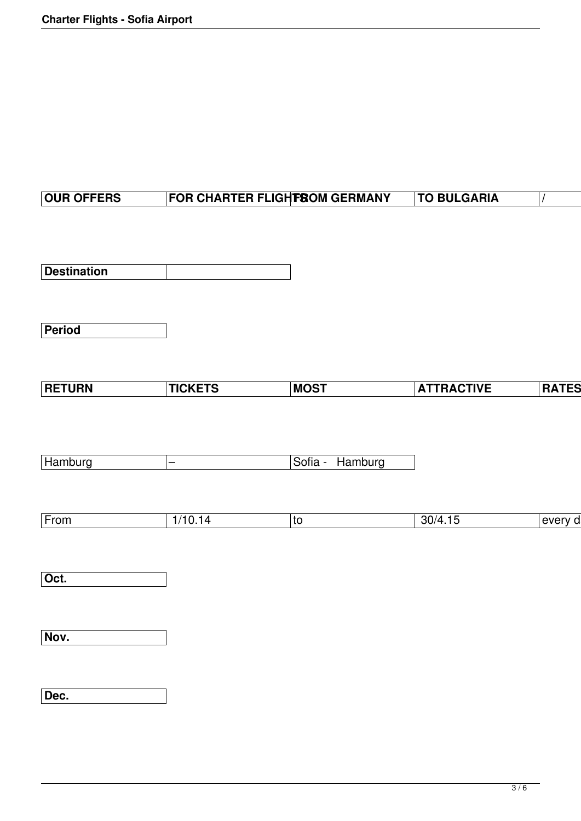## **OUR OFFERS FOR CHARTER FLIGHTS OM GERMANY | TO BULGARIA** | /

**Destination**

**Period**

| <b>RATES</b><br><b>ATTRACTIVE</b> |  |  |  |  |  |  |  |  |  | <b>MOST</b><br>www. |  |  |  |  |  |  |  |  |  |  |  |  |  |  |  |
|-----------------------------------|--|--|--|--|--|--|--|--|--|---------------------|--|--|--|--|--|--|--|--|--|--|--|--|--|--|--|
|-----------------------------------|--|--|--|--|--|--|--|--|--|---------------------|--|--|--|--|--|--|--|--|--|--|--|--|--|--|--|

| Hamburg |  |  | Sofia - Hamburg |
|---------|--|--|-----------------|
|---------|--|--|-----------------|

| ----<br>⊢rom | $\mathbf{u}$ | τc | ,,,, |  |
|--------------|--------------|----|------|--|
|--------------|--------------|----|------|--|

**Oct.**

**Nov.**

**Dec.**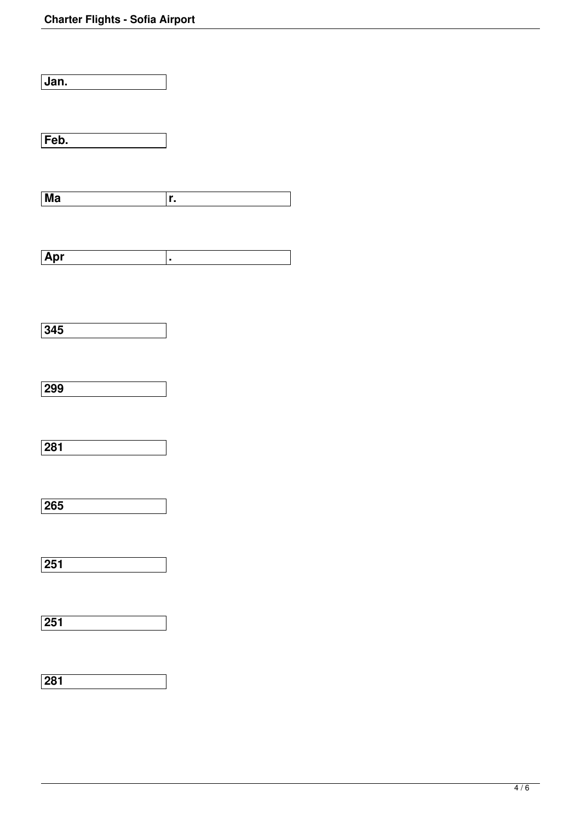| $\overline{Jan}$ . |    |  |
|--------------------|----|--|
| Feb.               |    |  |
| $M$ a              | r. |  |
| Apr                | ×, |  |
| 345                |    |  |
| 299                |    |  |
| $\overline{281}$   |    |  |
| 265                |    |  |
| $\overline{251}$   |    |  |
| $\overline{251}$   |    |  |

**281**